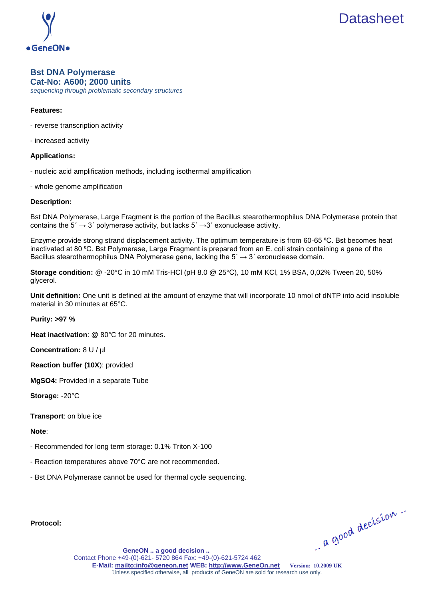

## **Bst DNA Polymerase Cat-No: A600; 2000 units**

*sequencing through problematic secondary structures*

## **Features:**

- reverse transcription activity
- increased activity

#### **Applications:**

- nucleic acid amplification methods, including isothermal amplification
- whole genome amplification

#### **Description:**

Bst DNA Polymerase, Large Fragment is the portion of the Bacillus stearothermophilus DNA Polymerase protein that contains the  $5' \rightarrow 3'$  polymerase activity, but lacks  $5' \rightarrow 3'$  exonuclease activity.

Enzyme provide strong strand displacement activity. The optimum temperature is from 60-65 °C. Bst becomes heat inactivated at 80 °C. Bst Polymerase, Large Fragment is prepared from an E. coli strain containing a gene of the Bacillus stearothermophilus DNA Polymerase gene, lacking the  $5' \rightarrow 3'$  exonuclease domain.

**Storage condition:** @ -20°C in 10 mM Tris-HCl (pH 8.0 @ 25°С), 10 mM KCl, 1% BSA, 0,02% Tween 20, 50% glycerol.

**Unit definition:** One unit is defined at the amount of enzyme that will incorporate 10 nmol of dNTP into acid insoluble material in 30 minutes at 65°C.

#### **Purity: >97 %**

**Heat inactivation**: @ 80°C for 20 minutes.

**Concentration:** 8 U / µl

**Reaction buffer (10X**): provided

**MgSO4:** Provided in a separate Tube

**Storage:** -20°C

**Transport**: on blue ice

**Note**:

- Recommended for long term storage: 0.1% Triton X-100
- Reaction temperatures above 70°C are not recommended.
- Bst DNA Polymerase cannot be used for thermal cycle sequencing.

**Protocol:**

a good decision.

**[GeneON .. a good decision ..](http://www.geneon.net/)** Contact Phone +49-(0)-621- 5720 864 Fax: +49-(0)-621-5724 462 **E-Mail[: mailto:info@geneon.net](mailto:info@geneon.net) WEB: [http://www.GeneOn.net](http://www.geneon.net/) Version: 10.2009 UK** Unless specified otherwise, all products of GeneON are sold for research use only.